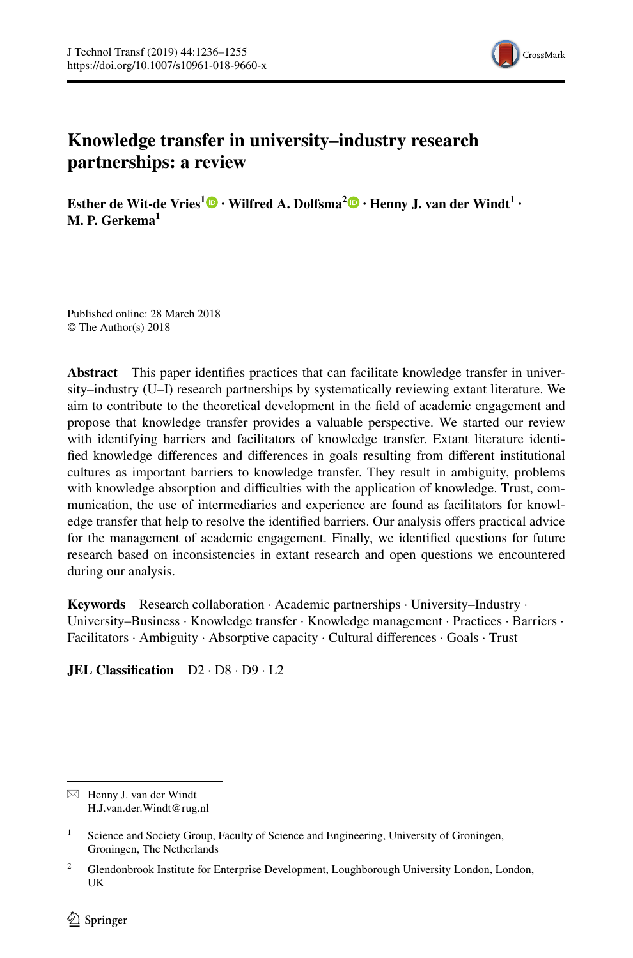

# **Knowledge transfer in university–industry research partnerships: a review**

**Esther de Wit-de Vries<sup>[1](http://orcid.org/0000-0002-9182-5176)</sup>** $\bullet$  **· Wilfred A. Dolfsma<sup>2</sup>**  $\bullet$  **· Henny J. van der Windt<sup>1</sup> · M. P. Gerkema<sup>1</sup>**

Published online: 28 March 2018 © The Author(s) 2018

**Abstract** This paper identifes practices that can facilitate knowledge transfer in university–industry (U–I) research partnerships by systematically reviewing extant literature. We aim to contribute to the theoretical development in the feld of academic engagement and propose that knowledge transfer provides a valuable perspective. We started our review with identifying barriers and facilitators of knowledge transfer. Extant literature identifed knowledge diferences and diferences in goals resulting from diferent institutional cultures as important barriers to knowledge transfer. They result in ambiguity, problems with knowledge absorption and difficulties with the application of knowledge. Trust, communication, the use of intermediaries and experience are found as facilitators for knowledge transfer that help to resolve the identified barriers. Our analysis offers practical advice for the management of academic engagement. Finally, we identifed questions for future research based on inconsistencies in extant research and open questions we encountered during our analysis.

**Keywords** Research collaboration · Academic partnerships · University–Industry · University–Business · Knowledge transfer · Knowledge management · Practices · Barriers · Facilitators · Ambiguity · Absorptive capacity · Cultural diferences · Goals · Trust

**JEL Classifcation** D2 · D8 · D9 · L2

 $\boxtimes$  Henny J. van der Windt H.J.van.der.Windt@rug.nl

<sup>&</sup>lt;sup>1</sup> Science and Society Group, Faculty of Science and Engineering, University of Groningen, Groningen, The Netherlands

<sup>&</sup>lt;sup>2</sup> Glendonbrook Institute for Enterprise Development, Loughborough University London, London, UK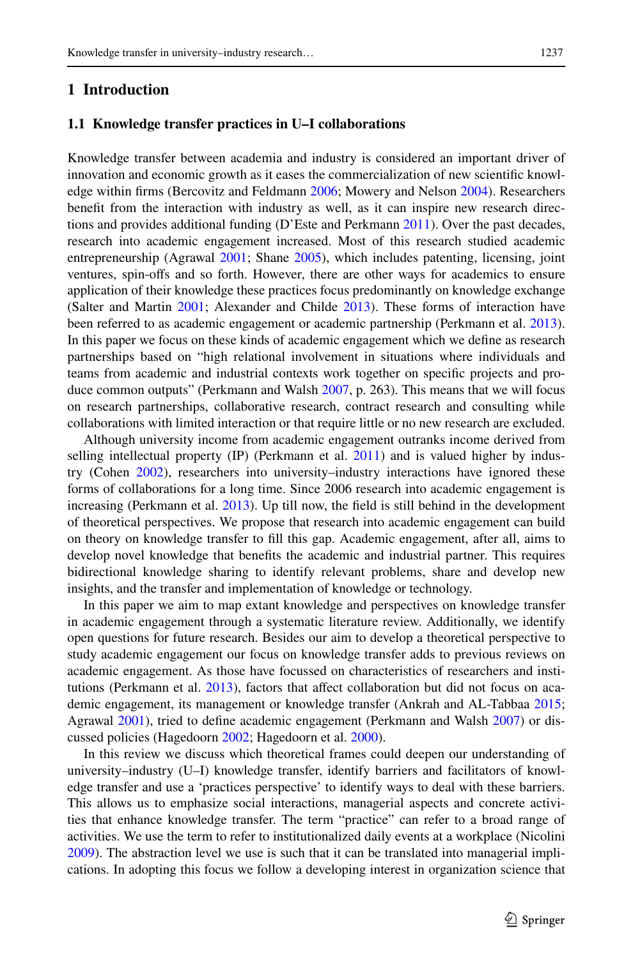# **1 Introduction**

## **1.1 Knowledge transfer practices in U–I collaborations**

Knowledge transfer between academia and industry is considered an important driver of innovation and economic growth as it eases the commercialization of new scientifc knowledge within frms (Bercovitz and Feldmann [2006;](#page-16-0) Mowery and Nelson [2004\)](#page-18-0). Researchers beneft from the interaction with industry as well, as it can inspire new research directions and provides additional funding (D'Este and Perkmann [2011](#page-17-0)). Over the past decades, research into academic engagement increased. Most of this research studied academic entrepreneurship (Agrawal [2001;](#page-16-1) Shane [2005](#page-18-1)), which includes patenting, licensing, joint ventures, spin-ofs and so forth. However, there are other ways for academics to ensure application of their knowledge these practices focus predominantly on knowledge exchange (Salter and Martin [2001](#page-18-2); Alexander and Childe [2013](#page-16-2)). These forms of interaction have been referred to as academic engagement or academic partnership (Perkmann et al. [2013](#page-18-3)). In this paper we focus on these kinds of academic engagement which we defne as research partnerships based on "high relational involvement in situations where individuals and teams from academic and industrial contexts work together on specifc projects and produce common outputs" (Perkmann and Walsh [2007,](#page-18-4) p. 263). This means that we will focus on research partnerships, collaborative research, contract research and consulting while collaborations with limited interaction or that require little or no new research are excluded.

Although university income from academic engagement outranks income derived from selling intellectual property (IP) (Perkmann et al. [2011](#page-18-5)) and is valued higher by industry (Cohen [2002\)](#page-17-1), researchers into university–industry interactions have ignored these forms of collaborations for a long time. Since 2006 research into academic engagement is increasing (Perkmann et al. [2013](#page-18-3)). Up till now, the feld is still behind in the development of theoretical perspectives. We propose that research into academic engagement can build on theory on knowledge transfer to fll this gap. Academic engagement, after all, aims to develop novel knowledge that benefts the academic and industrial partner. This requires bidirectional knowledge sharing to identify relevant problems, share and develop new insights, and the transfer and implementation of knowledge or technology.

In this paper we aim to map extant knowledge and perspectives on knowledge transfer in academic engagement through a systematic literature review. Additionally, we identify open questions for future research. Besides our aim to develop a theoretical perspective to study academic engagement our focus on knowledge transfer adds to previous reviews on academic engagement. As those have focussed on characteristics of researchers and institutions (Perkmann et al.  $2013$ ), factors that affect collaboration but did not focus on academic engagement, its management or knowledge transfer (Ankrah and AL-Tabbaa [2015;](#page-16-3) Agrawal [2001\)](#page-16-1), tried to defne academic engagement (Perkmann and Walsh [2007](#page-18-4)) or discussed policies (Hagedoorn [2002](#page-17-2); Hagedoorn et al. [2000\)](#page-17-3).

In this review we discuss which theoretical frames could deepen our understanding of university–industry (U–I) knowledge transfer, identify barriers and facilitators of knowledge transfer and use a 'practices perspective' to identify ways to deal with these barriers. This allows us to emphasize social interactions, managerial aspects and concrete activities that enhance knowledge transfer. The term "practice" can refer to a broad range of activities. We use the term to refer to institutionalized daily events at a workplace (Nicolini [2009\)](#page-18-6). The abstraction level we use is such that it can be translated into managerial implications. In adopting this focus we follow a developing interest in organization science that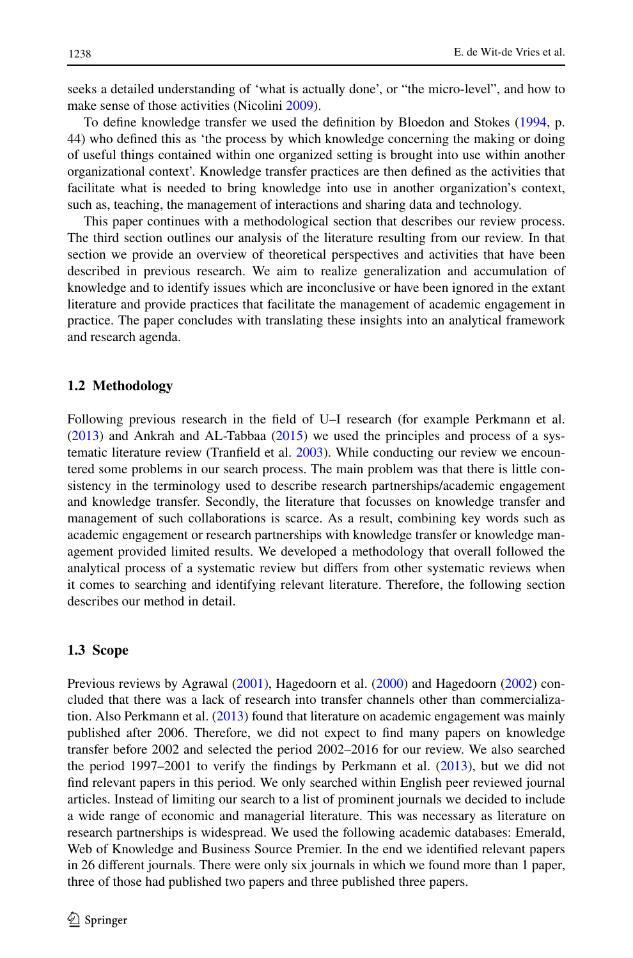seeks a detailed understanding of 'what is actually done', or "the micro-level", and how to make sense of those activities (Nicolini [2009\)](#page-18-6).

To defne knowledge transfer we used the defnition by Bloedon and Stokes ([1994,](#page-17-4) p. 44) who defned this as 'the process by which knowledge concerning the making or doing of useful things contained within one organized setting is brought into use within another organizational context'. Knowledge transfer practices are then defned as the activities that facilitate what is needed to bring knowledge into use in another organization's context, such as, teaching, the management of interactions and sharing data and technology.

This paper continues with a methodological section that describes our review process. The third section outlines our analysis of the literature resulting from our review. In that section we provide an overview of theoretical perspectives and activities that have been described in previous research. We aim to realize generalization and accumulation of knowledge and to identify issues which are inconclusive or have been ignored in the extant literature and provide practices that facilitate the management of academic engagement in practice. The paper concludes with translating these insights into an analytical framework and research agenda.

## **1.2 Methodology**

Following previous research in the feld of U–I research (for example Perkmann et al. ([2013\)](#page-18-3) and Ankrah and AL-Tabbaa ([2015\)](#page-16-3) we used the principles and process of a systematic literature review (Tranfeld et al. [2003\)](#page-19-0). While conducting our review we encountered some problems in our search process. The main problem was that there is little consistency in the terminology used to describe research partnerships/academic engagement and knowledge transfer. Secondly, the literature that focusses on knowledge transfer and management of such collaborations is scarce. As a result, combining key words such as academic engagement or research partnerships with knowledge transfer or knowledge management provided limited results. We developed a methodology that overall followed the analytical process of a systematic review but difers from other systematic reviews when it comes to searching and identifying relevant literature. Therefore, the following section describes our method in detail.

## **1.3 Scope**

Previous reviews by Agrawal [\(2001](#page-16-1)), Hagedoorn et al. [\(2000](#page-17-3)) and Hagedoorn ([2002\)](#page-17-2) concluded that there was a lack of research into transfer channels other than commercialization. Also Perkmann et al. [\(2013](#page-18-3)) found that literature on academic engagement was mainly published after 2006. Therefore, we did not expect to fnd many papers on knowledge transfer before 2002 and selected the period 2002–2016 for our review. We also searched the period 1997–2001 to verify the fndings by Perkmann et al. ([2013\)](#page-18-3), but we did not fnd relevant papers in this period. We only searched within English peer reviewed journal articles. Instead of limiting our search to a list of prominent journals we decided to include a wide range of economic and managerial literature. This was necessary as literature on research partnerships is widespread. We used the following academic databases: Emerald, Web of Knowledge and Business Source Premier. In the end we identifed relevant papers in 26 diferent journals. There were only six journals in which we found more than 1 paper, three of those had published two papers and three published three papers.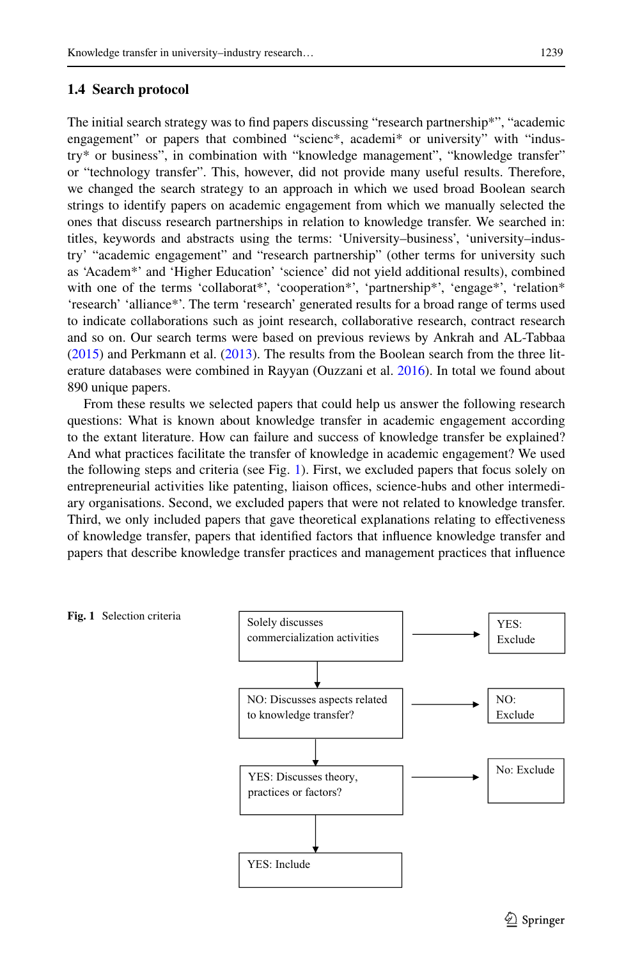## **1.4 Search protocol**

The initial search strategy was to fnd papers discussing "research partnership\*", "academic engagement" or papers that combined "scienc\*, academi\* or university" with "industry\* or business", in combination with "knowledge management", "knowledge transfer" or "technology transfer". This, however, did not provide many useful results. Therefore, we changed the search strategy to an approach in which we used broad Boolean search strings to identify papers on academic engagement from which we manually selected the ones that discuss research partnerships in relation to knowledge transfer. We searched in: titles, keywords and abstracts using the terms: 'University–business', 'university–industry' "academic engagement" and "research partnership" (other terms for university such as 'Academ\*' and 'Higher Education' 'science' did not yield additional results), combined with one of the terms 'collaborat\*', 'cooperation\*', 'partnership\*', 'engage\*', 'relation\* 'research' 'alliance\*'. The term 'research' generated results for a broad range of terms used to indicate collaborations such as joint research, collaborative research, contract research and so on. Our search terms were based on previous reviews by Ankrah and AL-Tabbaa ([2015\)](#page-16-3) and Perkmann et al. [\(2013](#page-18-3)). The results from the Boolean search from the three literature databases were combined in Rayyan (Ouzzani et al. [2016](#page-18-7)). In total we found about 890 unique papers.

From these results we selected papers that could help us answer the following research questions: What is known about knowledge transfer in academic engagement according to the extant literature. How can failure and success of knowledge transfer be explained? And what practices facilitate the transfer of knowledge in academic engagement? We used the following steps and criteria (see Fig. [1](#page-3-0)). First, we excluded papers that focus solely on entrepreneurial activities like patenting, liaison offices, science-hubs and other intermediary organisations. Second, we excluded papers that were not related to knowledge transfer. Third, we only included papers that gave theoretical explanations relating to efectiveness of knowledge transfer, papers that identifed factors that infuence knowledge transfer and papers that describe knowledge transfer practices and management practices that infuence

<span id="page-3-0"></span>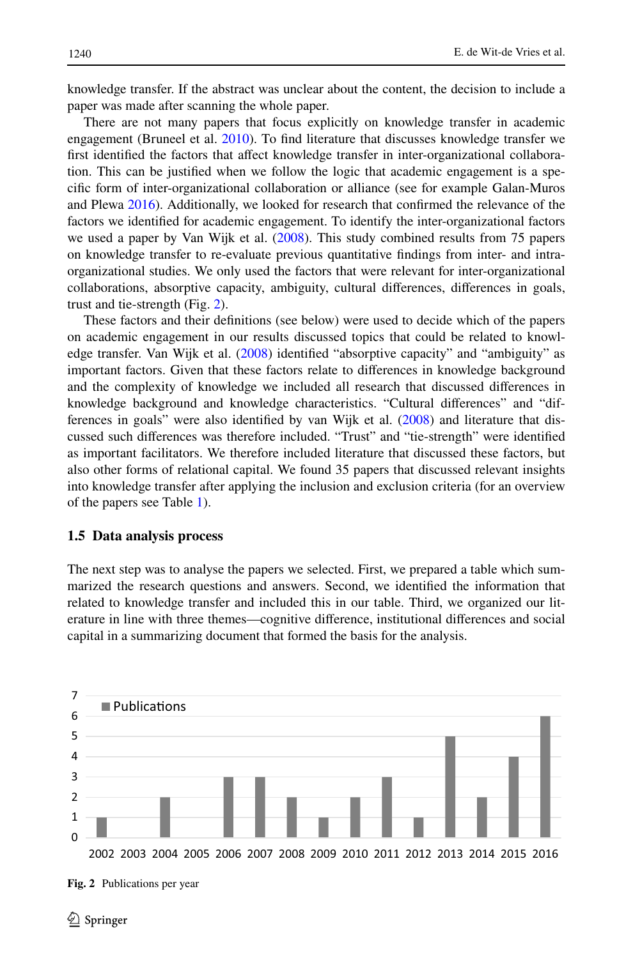knowledge transfer. If the abstract was unclear about the content, the decision to include a paper was made after scanning the whole paper.

There are not many papers that focus explicitly on knowledge transfer in academic engagement (Bruneel et al. [2010](#page-17-5)). To find literature that discusses knowledge transfer we frst identifed the factors that afect knowledge transfer in inter-organizational collaboration. This can be justifed when we follow the logic that academic engagement is a specifc form of inter-organizational collaboration or alliance (see for example Galan-Muros and Plewa [2016\)](#page-17-6). Additionally, we looked for research that confrmed the relevance of the factors we identifed for academic engagement. To identify the inter-organizational factors we used a paper by Van Wijk et al. [\(2008](#page-19-1)). This study combined results from 75 papers on knowledge transfer to re-evaluate previous quantitative fndings from inter- and intraorganizational studies. We only used the factors that were relevant for inter-organizational collaborations, absorptive capacity, ambiguity, cultural diferences, diferences in goals, trust and tie-strength (Fig. [2](#page-4-0)).

These factors and their defnitions (see below) were used to decide which of the papers on academic engagement in our results discussed topics that could be related to knowledge transfer. Van Wijk et al. [\(2008](#page-19-1)) identifed "absorptive capacity" and "ambiguity" as important factors. Given that these factors relate to diferences in knowledge background and the complexity of knowledge we included all research that discussed diferences in knowledge background and knowledge characteristics. "Cultural diferences" and "differences in goals" were also identifed by van Wijk et al. [\(2008](#page-19-1)) and literature that discussed such diferences was therefore included. "Trust" and "tie-strength" were identifed as important facilitators. We therefore included literature that discussed these factors, but also other forms of relational capital. We found 35 papers that discussed relevant insights into knowledge transfer after applying the inclusion and exclusion criteria (for an overview of the papers see Table [1](#page-5-0)).

#### **1.5 Data analysis process**

The next step was to analyse the papers we selected. First, we prepared a table which summarized the research questions and answers. Second, we identifed the information that related to knowledge transfer and included this in our table. Third, we organized our literature in line with three themes—cognitive diference, institutional diferences and social capital in a summarizing document that formed the basis for the analysis.



<span id="page-4-0"></span>**Fig. 2** Publications per year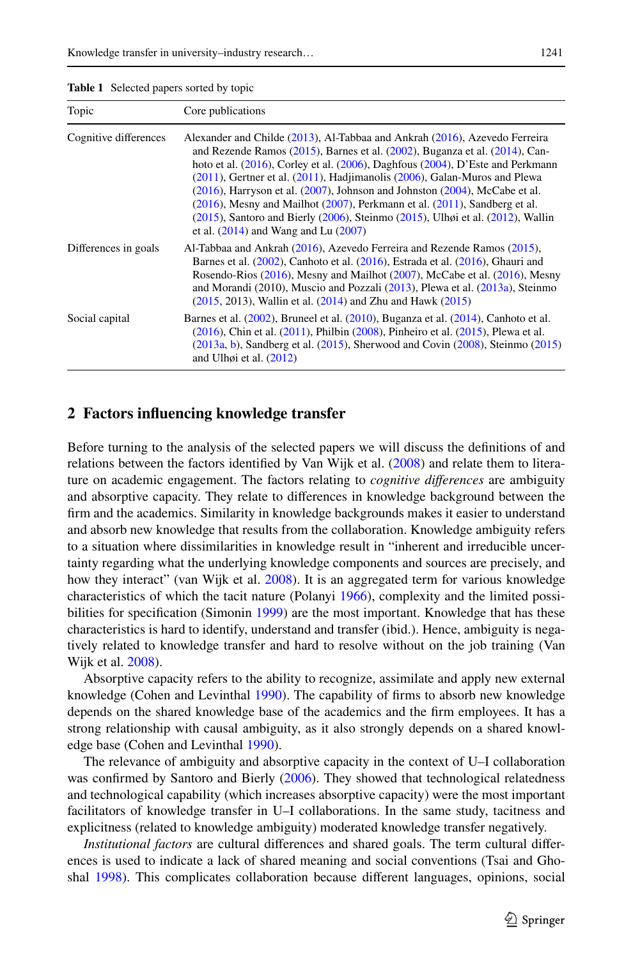<span id="page-5-0"></span>

| Topic                 | Core publications                                                                                                                                                                                                                                                                                                                                                                                                                                                                                                                                                                                                                                     |
|-----------------------|-------------------------------------------------------------------------------------------------------------------------------------------------------------------------------------------------------------------------------------------------------------------------------------------------------------------------------------------------------------------------------------------------------------------------------------------------------------------------------------------------------------------------------------------------------------------------------------------------------------------------------------------------------|
| Cognitive differences | Alexander and Childe (2013), Al-Tabbaa and Ankrah (2016), Azevedo Ferreira<br>and Rezende Ramos $(2015)$ , Barnes et al. $(2002)$ , Buganza et al. $(2014)$ , Can-<br>hoto et al. $(2016)$ , Corley et al. $(2006)$ , Daghfous $(2004)$ , D'Este and Perkmann<br>(2011), Gertner et al. (2011), Hadjimanolis (2006), Galan-Muros and Plewa<br>$(2016)$ , Harryson et al. $(2007)$ , Johnson and Johnston $(2004)$ , McCabe et al.<br>$(2016)$ , Mesny and Mailhot $(2007)$ , Perkmann et al. $(2011)$ , Sandberg et al.<br>(2015), Santoro and Bierly (2006), Steinmo (2015), Ulhøi et al. (2012), Wallin<br>et al. $(2014)$ and Wang and Lu $(2007)$ |
| Differences in goals  | Al-Tabbaa and Ankrah (2016), Azevedo Ferreira and Rezende Ramos (2015),<br>Barnes et al. $(2002)$ , Canhoto et al. $(2016)$ , Estrada et al. $(2016)$ , Ghauri and<br>Rosendo-Rios (2016), Mesny and Mailhot (2007), McCabe et al. (2016), Mesny<br>and Morandi (2010), Muscio and Pozzali (2013), Plewa et al. (2013a), Steinmo<br>$(2015, 2013)$ , Wallin et al. $(2014)$ and Zhu and Hawk $(2015)$                                                                                                                                                                                                                                                 |
| Social capital        | Barnes et al. (2002), Bruneel et al. (2010), Buganza et al. (2014), Canhoto et al.<br>$(2016)$ , Chin et al. $(2011)$ , Philbin $(2008)$ , Pinheiro et al. $(2015)$ , Plewa et al.<br>$(2013a, b)$ , Sandberg et al. $(2015)$ , Sherwood and Covin $(2008)$ , Steinmo $(2015)$<br>and Ulhøi et al. $(2012)$                                                                                                                                                                                                                                                                                                                                           |

## **2 Factors infuencing knowledge transfer**

Before turning to the analysis of the selected papers we will discuss the defnitions of and relations between the factors identifed by Van Wijk et al. [\(2008](#page-19-1)) and relate them to literature on academic engagement. The factors relating to *cognitive diferences* are ambiguity and absorptive capacity. They relate to diferences in knowledge background between the frm and the academics. Similarity in knowledge backgrounds makes it easier to understand and absorb new knowledge that results from the collaboration. Knowledge ambiguity refers to a situation where dissimilarities in knowledge result in "inherent and irreducible uncertainty regarding what the underlying knowledge components and sources are precisely, and how they interact" (van Wijk et al. [2008](#page-19-1)). It is an aggregated term for various knowledge characteristics of which the tacit nature (Polanyi [1966\)](#page-18-8), complexity and the limited possi-bilities for specification (Simonin [1999\)](#page-19-2) are the most important. Knowledge that has these characteristics is hard to identify, understand and transfer (ibid.). Hence, ambiguity is negatively related to knowledge transfer and hard to resolve without on the job training (Van Wijk et al. [2008](#page-19-1)).

Absorptive capacity refers to the ability to recognize, assimilate and apply new external knowledge (Cohen and Levinthal [1990\)](#page-17-7). The capability of frms to absorb new knowledge depends on the shared knowledge base of the academics and the frm employees. It has a strong relationship with causal ambiguity, as it also strongly depends on a shared knowledge base (Cohen and Levinthal [1990](#page-17-7)).

The relevance of ambiguity and absorptive capacity in the context of U–I collaboration was confrmed by Santoro and Bierly [\(2006](#page-18-9)). They showed that technological relatedness and technological capability (which increases absorptive capacity) were the most important facilitators of knowledge transfer in U–I collaborations. In the same study, tacitness and explicitness (related to knowledge ambiguity) moderated knowledge transfer negatively.

*Institutional factors* are cultural diferences and shared goals. The term cultural diferences is used to indicate a lack of shared meaning and social conventions (Tsai and Ghoshal [1998\)](#page-19-3). This complicates collaboration because diferent languages, opinions, social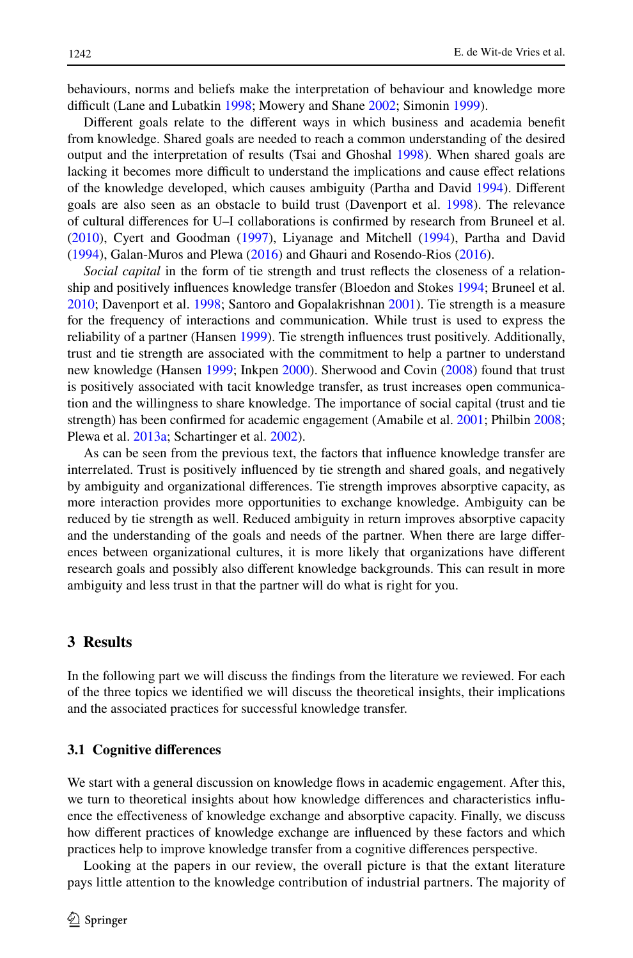behaviours, norms and beliefs make the interpretation of behaviour and knowledge more difficult (Lane and Lubatkin [1998;](#page-17-19) Mowery and Shane [2002;](#page-18-18) Simonin [1999\)](#page-19-2).

Diferent goals relate to the diferent ways in which business and academia beneft from knowledge. Shared goals are needed to reach a common understanding of the desired output and the interpretation of results (Tsai and Ghoshal [1998](#page-19-3)). When shared goals are lacking it becomes more difficult to understand the implications and cause effect relations of the knowledge developed, which causes ambiguity (Partha and David [1994\)](#page-18-19). Diferent goals are also seen as an obstacle to build trust (Davenport et al. [1998\)](#page-17-20). The relevance of cultural diferences for U–I collaborations is confrmed by research from Bruneel et al. ([2010\)](#page-17-5), Cyert and Goodman ([1997\)](#page-17-21), Liyanage and Mitchell ([1994\)](#page-17-22), Partha and David ([1994\)](#page-18-19), Galan-Muros and Plewa [\(2016](#page-17-6)) and Ghauri and Rosendo-Rios [\(2016](#page-17-17)).

*Social capital* in the form of tie strength and trust refects the closeness of a relationship and positively infuences knowledge transfer (Bloedon and Stokes [1994](#page-17-4); Bruneel et al. [2010;](#page-17-5) Davenport et al. [1998](#page-17-20); Santoro and Gopalakrishnan [2001\)](#page-18-20). Tie strength is a measure for the frequency of interactions and communication. While trust is used to express the reliability of a partner (Hansen [1999\)](#page-17-23). Tie strength infuences trust positively. Additionally, trust and tie strength are associated with the commitment to help a partner to understand new knowledge (Hansen [1999;](#page-17-23) Inkpen [2000](#page-17-24)). Sherwood and Covin [\(2008](#page-18-17)) found that trust is positively associated with tacit knowledge transfer, as trust increases open communication and the willingness to share knowledge. The importance of social capital (trust and tie strength) has been confrmed for academic engagement (Amabile et al. [2001](#page-16-7); Philbin [2008;](#page-18-15) Plewa et al. [2013a;](#page-18-14) Schartinger et al. [2002\)](#page-18-21).

As can be seen from the previous text, the factors that infuence knowledge transfer are interrelated. Trust is positively infuenced by tie strength and shared goals, and negatively by ambiguity and organizational diferences. Tie strength improves absorptive capacity, as more interaction provides more opportunities to exchange knowledge. Ambiguity can be reduced by tie strength as well. Reduced ambiguity in return improves absorptive capacity and the understanding of the goals and needs of the partner. When there are large diferences between organizational cultures, it is more likely that organizations have diferent research goals and possibly also diferent knowledge backgrounds. This can result in more ambiguity and less trust in that the partner will do what is right for you.

## **3 Results**

In the following part we will discuss the fndings from the literature we reviewed. For each of the three topics we identifed we will discuss the theoretical insights, their implications and the associated practices for successful knowledge transfer.

#### **3.1 Cognitive diferences**

We start with a general discussion on knowledge flows in academic engagement. After this, we turn to theoretical insights about how knowledge diferences and characteristics infuence the efectiveness of knowledge exchange and absorptive capacity. Finally, we discuss how diferent practices of knowledge exchange are infuenced by these factors and which practices help to improve knowledge transfer from a cognitive diferences perspective.

Looking at the papers in our review, the overall picture is that the extant literature pays little attention to the knowledge contribution of industrial partners. The majority of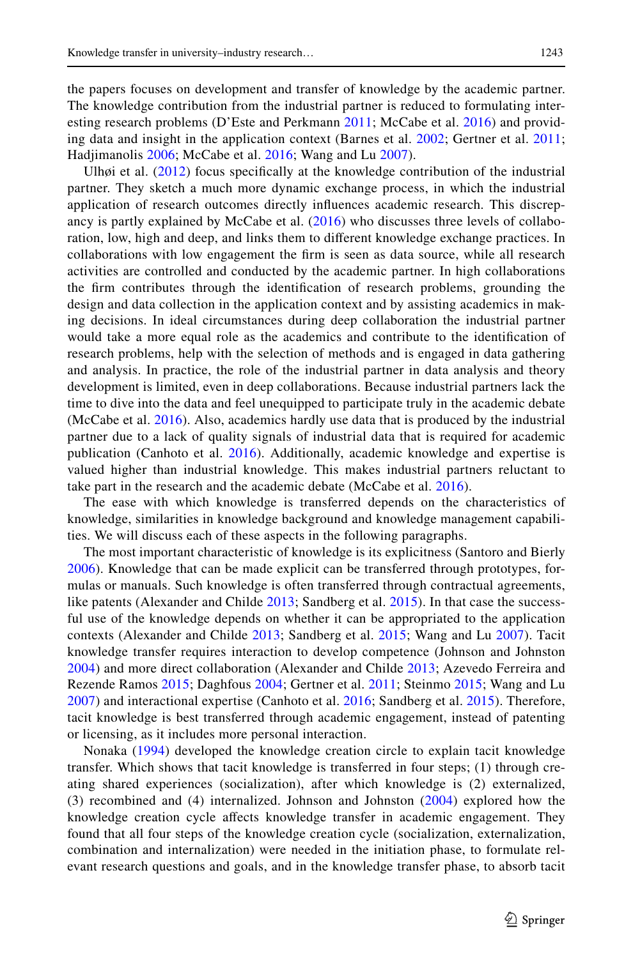the papers focuses on development and transfer of knowledge by the academic partner. The knowledge contribution from the industrial partner is reduced to formulating interesting research problems (D'Este and Perkmann [2011;](#page-17-0) McCabe et al. [2016](#page-18-10)) and providing data and insight in the application context (Barnes et al. [2002;](#page-16-6) Gertner et al. [2011;](#page-17-12) Hadjimanolis [2006;](#page-17-13) McCabe et al. [2016;](#page-18-10) Wang and Lu [2007](#page-19-7)).

Ulhøi et al. ([2012](#page-19-5)) focus specifcally at the knowledge contribution of the industrial partner. They sketch a much more dynamic exchange process, in which the industrial application of research outcomes directly infuences academic research. This discrepancy is partly explained by McCabe et al.  $(2016)$  who discusses three levels of collaboration, low, high and deep, and links them to diferent knowledge exchange practices. In collaborations with low engagement the frm is seen as data source, while all research activities are controlled and conducted by the academic partner. In high collaborations the frm contributes through the identifcation of research problems, grounding the design and data collection in the application context and by assisting academics in making decisions. In ideal circumstances during deep collaboration the industrial partner would take a more equal role as the academics and contribute to the identifcation of research problems, help with the selection of methods and is engaged in data gathering and analysis. In practice, the role of the industrial partner in data analysis and theory development is limited, even in deep collaborations. Because industrial partners lack the time to dive into the data and feel unequipped to participate truly in the academic debate (McCabe et al. [2016\)](#page-18-10). Also, academics hardly use data that is produced by the industrial partner due to a lack of quality signals of industrial data that is required for academic publication (Canhoto et al. [2016](#page-17-9)). Additionally, academic knowledge and expertise is valued higher than industrial knowledge. This makes industrial partners reluctant to take part in the research and the academic debate (McCabe et al. [2016](#page-18-10)).

The ease with which knowledge is transferred depends on the characteristics of knowledge, similarities in knowledge background and knowledge management capabilities. We will discuss each of these aspects in the following paragraphs.

The most important characteristic of knowledge is its explicitness (Santoro and Bierly [2006](#page-18-9)). Knowledge that can be made explicit can be transferred through prototypes, formulas or manuals. Such knowledge is often transferred through contractual agreements, like patents (Alexander and Childe [2013;](#page-16-2) Sandberg et al. [2015](#page-18-12)). In that case the successful use of the knowledge depends on whether it can be appropriated to the application contexts (Alexander and Childe [2013;](#page-16-2) Sandberg et al. [2015](#page-18-12); Wang and Lu [2007](#page-19-7)). Tacit knowledge transfer requires interaction to develop competence (Johnson and Johnston [2004](#page-17-15)) and more direct collaboration (Alexander and Childe [2013](#page-16-2); Azevedo Ferreira and Rezende Ramos [2015;](#page-16-5) Daghfous [2004;](#page-17-11) Gertner et al. [2011](#page-17-12); Steinmo [2015](#page-19-4); Wang and Lu [2007](#page-19-7)) and interactional expertise (Canhoto et al. [2016](#page-17-9); Sandberg et al. [2015\)](#page-18-12). Therefore, tacit knowledge is best transferred through academic engagement, instead of patenting or licensing, as it includes more personal interaction.

Nonaka [\(1994\)](#page-18-22) developed the knowledge creation circle to explain tacit knowledge transfer. Which shows that tacit knowledge is transferred in four steps; (1) through creating shared experiences (socialization), after which knowledge is (2) externalized, (3) recombined and (4) internalized. Johnson and Johnston [\(2004\)](#page-17-15) explored how the knowledge creation cycle afects knowledge transfer in academic engagement. They found that all four steps of the knowledge creation cycle (socialization, externalization, combination and internalization) were needed in the initiation phase, to formulate relevant research questions and goals, and in the knowledge transfer phase, to absorb tacit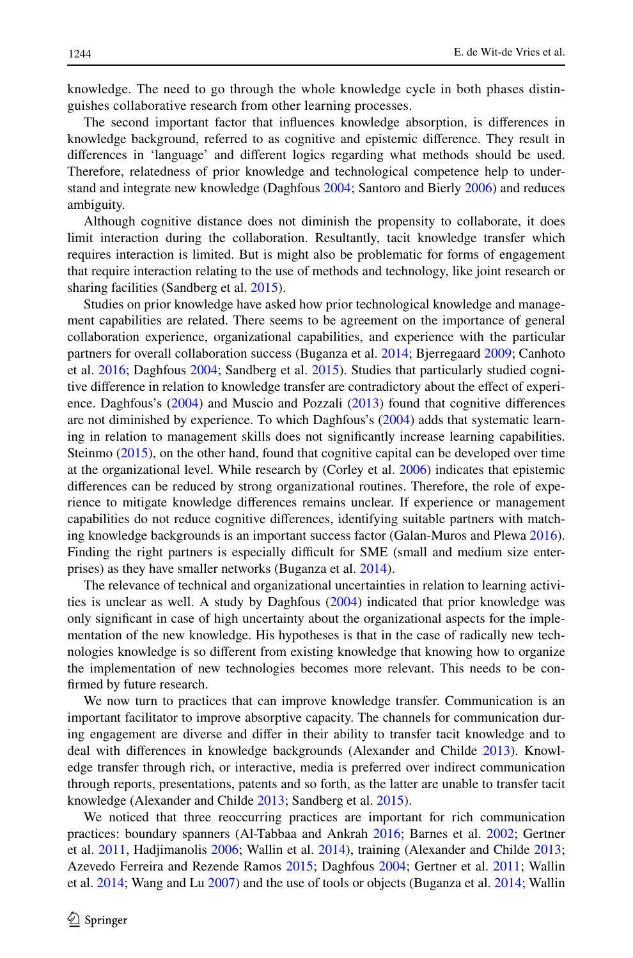knowledge. The need to go through the whole knowledge cycle in both phases distinguishes collaborative research from other learning processes.

The second important factor that infuences knowledge absorption, is diferences in knowledge background, referred to as cognitive and epistemic diference. They result in diferences in 'language' and diferent logics regarding what methods should be used. Therefore, relatedness of prior knowledge and technological competence help to understand and integrate new knowledge (Daghfous [2004;](#page-17-11) Santoro and Bierly [2006\)](#page-18-9) and reduces ambiguity.

Although cognitive distance does not diminish the propensity to collaborate, it does limit interaction during the collaboration. Resultantly, tacit knowledge transfer which requires interaction is limited. But is might also be problematic for forms of engagement that require interaction relating to the use of methods and technology, like joint research or sharing facilities (Sandberg et al. [2015](#page-18-12)).

Studies on prior knowledge have asked how prior technological knowledge and management capabilities are related. There seems to be agreement on the importance of general collaboration experience, organizational capabilities, and experience with the particular partners for overall collaboration success (Buganza et al. [2014;](#page-17-8) Bjerregaard [2009](#page-16-8); Canhoto et al. [2016](#page-17-9); Daghfous [2004](#page-17-11); Sandberg et al. [2015\)](#page-18-12). Studies that particularly studied cognitive diference in relation to knowledge transfer are contradictory about the efect of experience. Daghfous's ([2004\)](#page-17-11) and Muscio and Pozzali [\(2013](#page-18-13)) found that cognitive diferences are not diminished by experience. To which Daghfous's ([2004\)](#page-17-11) adds that systematic learning in relation to management skills does not signifcantly increase learning capabilities. Steinmo ([2015\)](#page-19-4), on the other hand, found that cognitive capital can be developed over time at the organizational level. While research by (Corley et al. [2006](#page-17-10)) indicates that epistemic diferences can be reduced by strong organizational routines. Therefore, the role of experience to mitigate knowledge diferences remains unclear. If experience or management capabilities do not reduce cognitive diferences, identifying suitable partners with matching knowledge backgrounds is an important success factor (Galan-Muros and Plewa [2016](#page-17-6)). Finding the right partners is especially difficult for SME (small and medium size enterprises) as they have smaller networks (Buganza et al. [2014\)](#page-17-8).

The relevance of technical and organizational uncertainties in relation to learning activities is unclear as well. A study by Daghfous [\(2004](#page-17-11)) indicated that prior knowledge was only signifcant in case of high uncertainty about the organizational aspects for the implementation of the new knowledge. His hypotheses is that in the case of radically new technologies knowledge is so diferent from existing knowledge that knowing how to organize the implementation of new technologies becomes more relevant. This needs to be confrmed by future research.

We now turn to practices that can improve knowledge transfer. Communication is an important facilitator to improve absorptive capacity. The channels for communication during engagement are diverse and difer in their ability to transfer tacit knowledge and to deal with diferences in knowledge backgrounds (Alexander and Childe [2013\)](#page-16-2). Knowledge transfer through rich, or interactive, media is preferred over indirect communication through reports, presentations, patents and so forth, as the latter are unable to transfer tacit knowledge (Alexander and Childe [2013;](#page-16-2) Sandberg et al. [2015\)](#page-18-12).

We noticed that three reoccurring practices are important for rich communication practices: boundary spanners (Al-Tabbaa and Ankrah [2016](#page-16-4); Barnes et al. [2002](#page-16-6); Gertner et al. [2011](#page-17-12), Hadjimanolis [2006;](#page-17-13) Wallin et al. [2014](#page-19-6)), training (Alexander and Childe [2013;](#page-16-2) Azevedo Ferreira and Rezende Ramos [2015;](#page-16-5) Daghfous [2004](#page-17-11); Gertner et al. [2011;](#page-17-12) Wallin et al. [2014](#page-19-6); Wang and Lu [2007](#page-19-7)) and the use of tools or objects (Buganza et al. [2014](#page-17-8); Wallin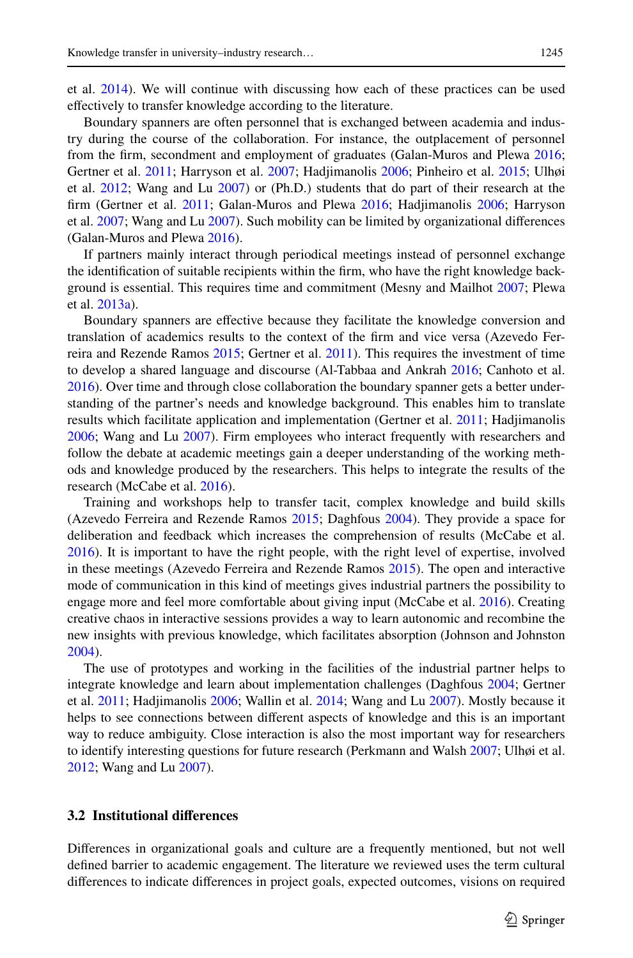et al.  $2014$ ). We will continue with discussing how each of these practices can be used efectively to transfer knowledge according to the literature.

Boundary spanners are often personnel that is exchanged between academia and industry during the course of the collaboration. For instance, the outplacement of personnel from the frm, secondment and employment of graduates (Galan-Muros and Plewa [2016;](#page-17-6) Gertner et al. [2011;](#page-17-12) Harryson et al. [2007](#page-17-14); Hadjimanolis [2006;](#page-17-13) Pinheiro et al. [2015](#page-18-16); Ulhøi et al. [2012;](#page-19-5) Wang and Lu [2007](#page-19-7)) or (Ph.D.) students that do part of their research at the frm (Gertner et al. [2011;](#page-17-12) Galan-Muros and Plewa [2016;](#page-17-6) Hadjimanolis [2006](#page-17-13); Harryson et al. [2007](#page-17-14); Wang and Lu [2007\)](#page-19-7). Such mobility can be limited by organizational diferences (Galan-Muros and Plewa [2016](#page-17-6)).

If partners mainly interact through periodical meetings instead of personnel exchange the identifcation of suitable recipients within the frm, who have the right knowledge background is essential. This requires time and commitment (Mesny and Mailhot [2007](#page-18-11); Plewa et al. [2013a\)](#page-18-14).

Boundary spanners are efective because they facilitate the knowledge conversion and translation of academics results to the context of the frm and vice versa (Azevedo Ferreira and Rezende Ramos [2015](#page-16-5); Gertner et al. [2011](#page-17-12)). This requires the investment of time to develop a shared language and discourse (Al-Tabbaa and Ankrah [2016](#page-16-4); Canhoto et al. [2016\)](#page-17-9). Over time and through close collaboration the boundary spanner gets a better understanding of the partner's needs and knowledge background. This enables him to translate results which facilitate application and implementation (Gertner et al. [2011;](#page-17-12) Hadjimanolis [2006;](#page-17-13) Wang and Lu [2007](#page-19-7)). Firm employees who interact frequently with researchers and follow the debate at academic meetings gain a deeper understanding of the working methods and knowledge produced by the researchers. This helps to integrate the results of the research (McCabe et al. [2016](#page-18-10)).

Training and workshops help to transfer tacit, complex knowledge and build skills (Azevedo Ferreira and Rezende Ramos [2015;](#page-16-5) Daghfous [2004](#page-17-11)). They provide a space for deliberation and feedback which increases the comprehension of results (McCabe et al. [2016\)](#page-18-10). It is important to have the right people, with the right level of expertise, involved in these meetings (Azevedo Ferreira and Rezende Ramos [2015\)](#page-16-5). The open and interactive mode of communication in this kind of meetings gives industrial partners the possibility to engage more and feel more comfortable about giving input (McCabe et al. [2016\)](#page-18-10). Creating creative chaos in interactive sessions provides a way to learn autonomic and recombine the new insights with previous knowledge, which facilitates absorption (Johnson and Johnston [2004\)](#page-17-15).

The use of prototypes and working in the facilities of the industrial partner helps to integrate knowledge and learn about implementation challenges (Daghfous [2004;](#page-17-11) Gertner et al. [2011](#page-17-12); Hadjimanolis [2006](#page-17-13); Wallin et al. [2014;](#page-19-6) Wang and Lu [2007](#page-19-7)). Mostly because it helps to see connections between diferent aspects of knowledge and this is an important way to reduce ambiguity. Close interaction is also the most important way for researchers to identify interesting questions for future research (Perkmann and Walsh [2007](#page-18-4); Ulhøi et al. [2012;](#page-19-5) Wang and Lu [2007](#page-19-7)).

# **3.2 Institutional diferences**

Diferences in organizational goals and culture are a frequently mentioned, but not well defned barrier to academic engagement. The literature we reviewed uses the term cultural diferences to indicate diferences in project goals, expected outcomes, visions on required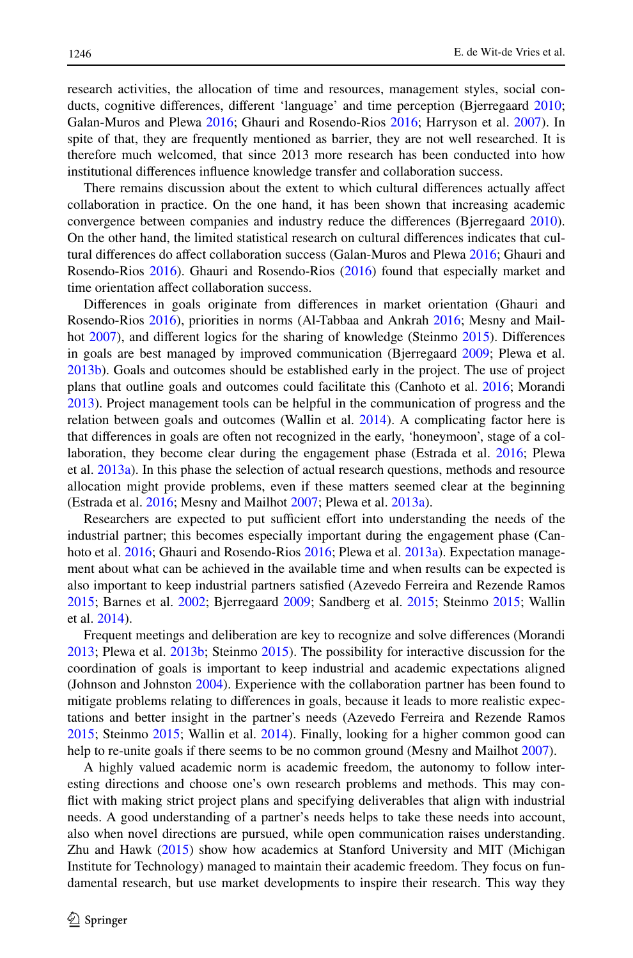research activities, the allocation of time and resources, management styles, social conducts, cognitive diferences, diferent 'language' and time perception (Bjerregaard [2010;](#page-17-25) Galan-Muros and Plewa [2016](#page-17-6); Ghauri and Rosendo-Rios [2016](#page-17-17); Harryson et al. [2007\)](#page-17-14). In spite of that, they are frequently mentioned as barrier, they are not well researched. It is therefore much welcomed, that since 2013 more research has been conducted into how institutional diferences infuence knowledge transfer and collaboration success.

There remains discussion about the extent to which cultural diferences actually afect collaboration in practice. On the one hand, it has been shown that increasing academic convergence between companies and industry reduce the diferences (Bjerregaard [2010](#page-17-25)). On the other hand, the limited statistical research on cultural diferences indicates that cultural diferences do afect collaboration success (Galan-Muros and Plewa [2016](#page-17-6); Ghauri and Rosendo-Rios [2016\)](#page-17-17). Ghauri and Rosendo-Rios [\(2016](#page-17-17)) found that especially market and time orientation afect collaboration success.

Diferences in goals originate from diferences in market orientation (Ghauri and Rosendo-Rios [2016\)](#page-17-17), priorities in norms (Al-Tabbaa and Ankrah [2016](#page-16-4); Mesny and Mail-hot [2007](#page-18-11)), and different logics for the sharing of knowledge (Steinmo [2015](#page-19-4)). Differences in goals are best managed by improved communication (Bjerregaard [2009](#page-16-8); Plewa et al. [2013b\)](#page-18-23). Goals and outcomes should be established early in the project. The use of project plans that outline goals and outcomes could facilitate this (Canhoto et al. [2016](#page-17-9); Morandi [2013\)](#page-18-24). Project management tools can be helpful in the communication of progress and the relation between goals and outcomes (Wallin et al.  $2014$ ). A complicating factor here is that diferences in goals are often not recognized in the early, 'honeymoon', stage of a collaboration, they become clear during the engagement phase (Estrada et al. [2016](#page-17-16); Plewa et al. [2013a\)](#page-18-14). In this phase the selection of actual research questions, methods and resource allocation might provide problems, even if these matters seemed clear at the beginning (Estrada et al. [2016](#page-17-16); Mesny and Mailhot [2007;](#page-18-11) Plewa et al. [2013a](#page-18-14)).

Researchers are expected to put sufficient effort into understanding the needs of the industrial partner; this becomes especially important during the engagement phase (Can-hoto et al. [2016;](#page-17-9) Ghauri and Rosendo-Rios [2016](#page-17-17); Plewa et al. [2013a](#page-18-14)). Expectation management about what can be achieved in the available time and when results can be expected is also important to keep industrial partners satisfed (Azevedo Ferreira and Rezende Ramos [2015;](#page-16-5) Barnes et al. [2002;](#page-16-6) Bjerregaard [2009;](#page-16-8) Sandberg et al. [2015;](#page-18-12) Steinmo [2015](#page-19-4); Wallin et al. [2014\)](#page-19-6).

Frequent meetings and deliberation are key to recognize and solve diferences (Morandi [2013;](#page-18-24) Plewa et al. [2013b;](#page-18-23) Steinmo [2015\)](#page-19-4). The possibility for interactive discussion for the coordination of goals is important to keep industrial and academic expectations aligned (Johnson and Johnston [2004\)](#page-17-15). Experience with the collaboration partner has been found to mitigate problems relating to diferences in goals, because it leads to more realistic expectations and better insight in the partner's needs (Azevedo Ferreira and Rezende Ramos [2015;](#page-16-5) Steinmo [2015](#page-19-4); Wallin et al. [2014](#page-19-6)). Finally, looking for a higher common good can help to re-unite goals if there seems to be no common ground (Mesny and Mailhot [2007](#page-18-11)).

A highly valued academic norm is academic freedom, the autonomy to follow interesting directions and choose one's own research problems and methods. This may confict with making strict project plans and specifying deliverables that align with industrial needs. A good understanding of a partner's needs helps to take these needs into account, also when novel directions are pursued, while open communication raises understanding. Zhu and Hawk [\(2015](#page-19-8)) show how academics at Stanford University and MIT (Michigan Institute for Technology) managed to maintain their academic freedom. They focus on fundamental research, but use market developments to inspire their research. This way they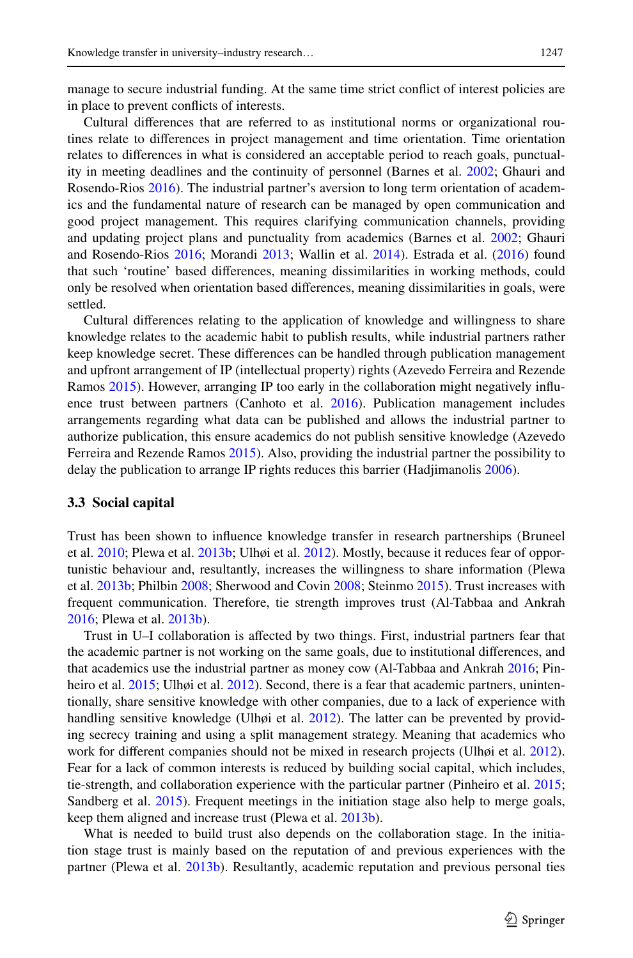manage to secure industrial funding. At the same time strict confict of interest policies are in place to prevent conficts of interests.

Cultural diferences that are referred to as institutional norms or organizational routines relate to diferences in project management and time orientation. Time orientation relates to diferences in what is considered an acceptable period to reach goals, punctuality in meeting deadlines and the continuity of personnel (Barnes et al. [2002](#page-16-6); Ghauri and Rosendo-Rios [2016\)](#page-17-17). The industrial partner's aversion to long term orientation of academics and the fundamental nature of research can be managed by open communication and good project management. This requires clarifying communication channels, providing and updating project plans and punctuality from academics (Barnes et al. [2002;](#page-16-6) Ghauri and Rosendo-Rios [2016](#page-17-17); Morandi [2013](#page-18-24); Wallin et al. [2014](#page-19-6)). Estrada et al. [\(2016](#page-17-16)) found that such 'routine' based diferences, meaning dissimilarities in working methods, could only be resolved when orientation based diferences, meaning dissimilarities in goals, were settled.

Cultural diferences relating to the application of knowledge and willingness to share knowledge relates to the academic habit to publish results, while industrial partners rather keep knowledge secret. These diferences can be handled through publication management and upfront arrangement of IP (intellectual property) rights (Azevedo Ferreira and Rezende Ramos [2015\)](#page-16-5). However, arranging IP too early in the collaboration might negatively infuence trust between partners (Canhoto et al. [2016\)](#page-17-9). Publication management includes arrangements regarding what data can be published and allows the industrial partner to authorize publication, this ensure academics do not publish sensitive knowledge (Azevedo Ferreira and Rezende Ramos [2015\)](#page-16-5). Also, providing the industrial partner the possibility to delay the publication to arrange IP rights reduces this barrier (Hadjimanolis [2006\)](#page-17-13).

#### **3.3 Social capital**

Trust has been shown to infuence knowledge transfer in research partnerships (Bruneel et al. [2010;](#page-17-5) Plewa et al. [2013b](#page-18-23); Ulhøi et al. [2012](#page-19-5)). Mostly, because it reduces fear of opportunistic behaviour and, resultantly, increases the willingness to share information (Plewa et al. [2013b](#page-18-14); Philbin [2008;](#page-18-15) Sherwood and Covin [2008;](#page-18-17) Steinmo [2015](#page-19-4)). Trust increases with frequent communication. Therefore, tie strength improves trust (Al-Tabbaa and Ankrah [2016;](#page-16-4) Plewa et al. [2013b](#page-18-14)).

Trust in U–I collaboration is afected by two things. First, industrial partners fear that the academic partner is not working on the same goals, due to institutional diferences, and that academics use the industrial partner as money cow (Al-Tabbaa and Ankrah [2016;](#page-16-4) Pinheiro et al. [2015](#page-18-16); Ulhøi et al. [2012\)](#page-19-5). Second, there is a fear that academic partners, unintentionally, share sensitive knowledge with other companies, due to a lack of experience with handling sensitive knowledge (Ulhøi et al. [2012\)](#page-19-5). The latter can be prevented by providing secrecy training and using a split management strategy. Meaning that academics who work for diferent companies should not be mixed in research projects (Ulhøi et al. [2012](#page-19-5)). Fear for a lack of common interests is reduced by building social capital, which includes, tie-strength, and collaboration experience with the particular partner (Pinheiro et al. [2015;](#page-18-16) Sandberg et al. [2015\)](#page-18-12). Frequent meetings in the initiation stage also help to merge goals, keep them aligned and increase trust (Plewa et al. [2013b\)](#page-18-23).

What is needed to build trust also depends on the collaboration stage. In the initiation stage trust is mainly based on the reputation of and previous experiences with the partner (Plewa et al. [2013b\)](#page-18-23). Resultantly, academic reputation and previous personal ties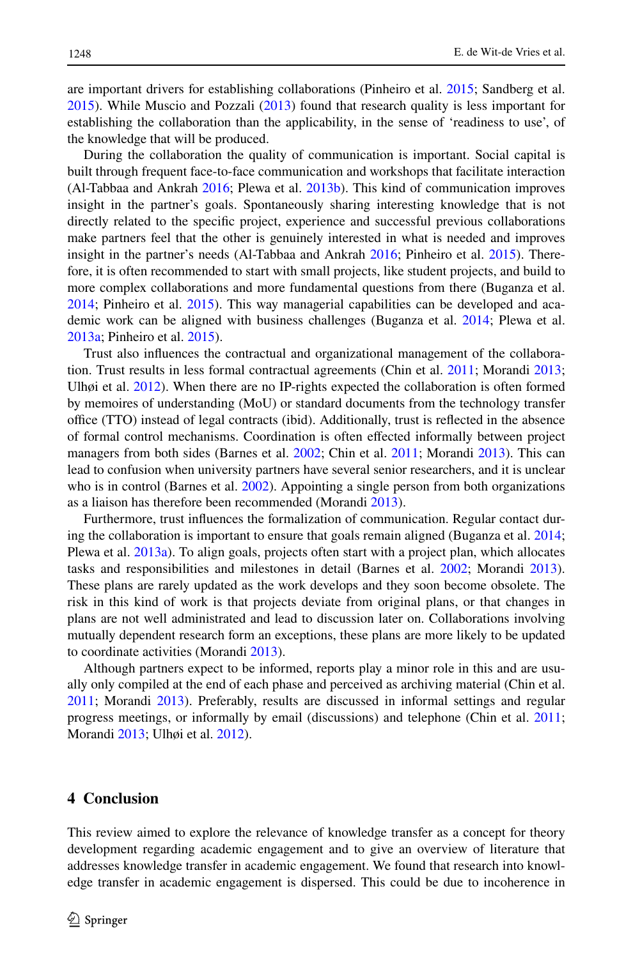are important drivers for establishing collaborations (Pinheiro et al. [2015](#page-18-16); Sandberg et al. [2015\)](#page-18-12). While Muscio and Pozzali [\(2013](#page-18-13)) found that research quality is less important for establishing the collaboration than the applicability, in the sense of 'readiness to use', of the knowledge that will be produced.

During the collaboration the quality of communication is important. Social capital is built through frequent face-to-face communication and workshops that facilitate interaction (Al-Tabbaa and Ankrah [2016;](#page-16-4) Plewa et al. [2013b\)](#page-18-23). This kind of communication improves insight in the partner's goals. Spontaneously sharing interesting knowledge that is not directly related to the specifc project, experience and successful previous collaborations make partners feel that the other is genuinely interested in what is needed and improves insight in the partner's needs (Al-Tabbaa and Ankrah [2016](#page-16-4); Pinheiro et al. [2015\)](#page-18-16). Therefore, it is often recommended to start with small projects, like student projects, and build to more complex collaborations and more fundamental questions from there (Buganza et al. [2014;](#page-17-8) Pinheiro et al. [2015\)](#page-18-16). This way managerial capabilities can be developed and aca-demic work can be aligned with business challenges (Buganza et al. [2014](#page-17-8); Plewa et al. [2013a;](#page-18-14) Pinheiro et al. [2015](#page-18-16)).

Trust also infuences the contractual and organizational management of the collaboration. Trust results in less formal contractual agreements (Chin et al. [2011;](#page-17-18) Morandi [2013;](#page-18-24) Ulhøi et al. [2012\)](#page-19-5). When there are no IP-rights expected the collaboration is often formed by memoires of understanding (MoU) or standard documents from the technology transfer office (TTO) instead of legal contracts (ibid). Additionally, trust is reflected in the absence of formal control mechanisms. Coordination is often efected informally between project managers from both sides (Barnes et al. [2002;](#page-16-6) Chin et al. [2011;](#page-17-18) Morandi [2013](#page-18-24)). This can lead to confusion when university partners have several senior researchers, and it is unclear who is in control (Barnes et al. [2002\)](#page-16-6). Appointing a single person from both organizations as a liaison has therefore been recommended (Morandi [2013\)](#page-18-24).

Furthermore, trust infuences the formalization of communication. Regular contact during the collaboration is important to ensure that goals remain aligned (Buganza et al. [2014;](#page-17-8) Plewa et al. [2013a](#page-18-14)). To align goals, projects often start with a project plan, which allocates tasks and responsibilities and milestones in detail (Barnes et al. [2002;](#page-16-6) Morandi [2013](#page-18-24)). These plans are rarely updated as the work develops and they soon become obsolete. The risk in this kind of work is that projects deviate from original plans, or that changes in plans are not well administrated and lead to discussion later on. Collaborations involving mutually dependent research form an exceptions, these plans are more likely to be updated to coordinate activities (Morandi [2013\)](#page-18-24).

Although partners expect to be informed, reports play a minor role in this and are usually only compiled at the end of each phase and perceived as archiving material (Chin et al. [2011;](#page-17-18) Morandi [2013](#page-18-24)). Preferably, results are discussed in informal settings and regular progress meetings, or informally by email (discussions) and telephone (Chin et al. [2011;](#page-17-18) Morandi [2013;](#page-18-24) Ulhøi et al. [2012\)](#page-19-5).

# **4 Conclusion**

This review aimed to explore the relevance of knowledge transfer as a concept for theory development regarding academic engagement and to give an overview of literature that addresses knowledge transfer in academic engagement. We found that research into knowledge transfer in academic engagement is dispersed. This could be due to incoherence in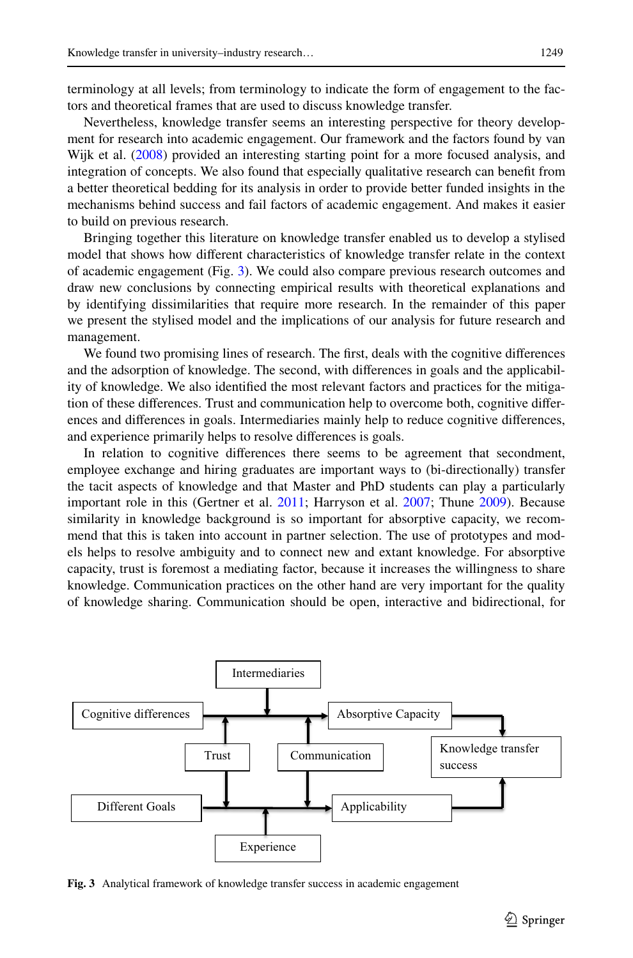terminology at all levels; from terminology to indicate the form of engagement to the factors and theoretical frames that are used to discuss knowledge transfer.

Nevertheless, knowledge transfer seems an interesting perspective for theory development for research into academic engagement. Our framework and the factors found by van Wijk et al. [\(2008](#page-19-1)) provided an interesting starting point for a more focused analysis, and integration of concepts. We also found that especially qualitative research can beneft from a better theoretical bedding for its analysis in order to provide better funded insights in the mechanisms behind success and fail factors of academic engagement. And makes it easier to build on previous research.

Bringing together this literature on knowledge transfer enabled us to develop a stylised model that shows how diferent characteristics of knowledge transfer relate in the context of academic engagement (Fig. [3\)](#page-13-0). We could also compare previous research outcomes and draw new conclusions by connecting empirical results with theoretical explanations and by identifying dissimilarities that require more research. In the remainder of this paper we present the stylised model and the implications of our analysis for future research and management.

We found two promising lines of research. The first, deals with the cognitive differences and the adsorption of knowledge. The second, with diferences in goals and the applicability of knowledge. We also identifed the most relevant factors and practices for the mitigation of these diferences. Trust and communication help to overcome both, cognitive diferences and diferences in goals. Intermediaries mainly help to reduce cognitive diferences, and experience primarily helps to resolve diferences is goals.

In relation to cognitive diferences there seems to be agreement that secondment, employee exchange and hiring graduates are important ways to (bi-directionally) transfer the tacit aspects of knowledge and that Master and PhD students can play a particularly important role in this (Gertner et al. [2011;](#page-17-12) Harryson et al. [2007;](#page-17-14) Thune [2009\)](#page-19-9). Because similarity in knowledge background is so important for absorptive capacity, we recommend that this is taken into account in partner selection. The use of prototypes and models helps to resolve ambiguity and to connect new and extant knowledge. For absorptive capacity, trust is foremost a mediating factor, because it increases the willingness to share knowledge. Communication practices on the other hand are very important for the quality of knowledge sharing. Communication should be open, interactive and bidirectional, for



<span id="page-13-0"></span>**Fig. 3** Analytical framework of knowledge transfer success in academic engagement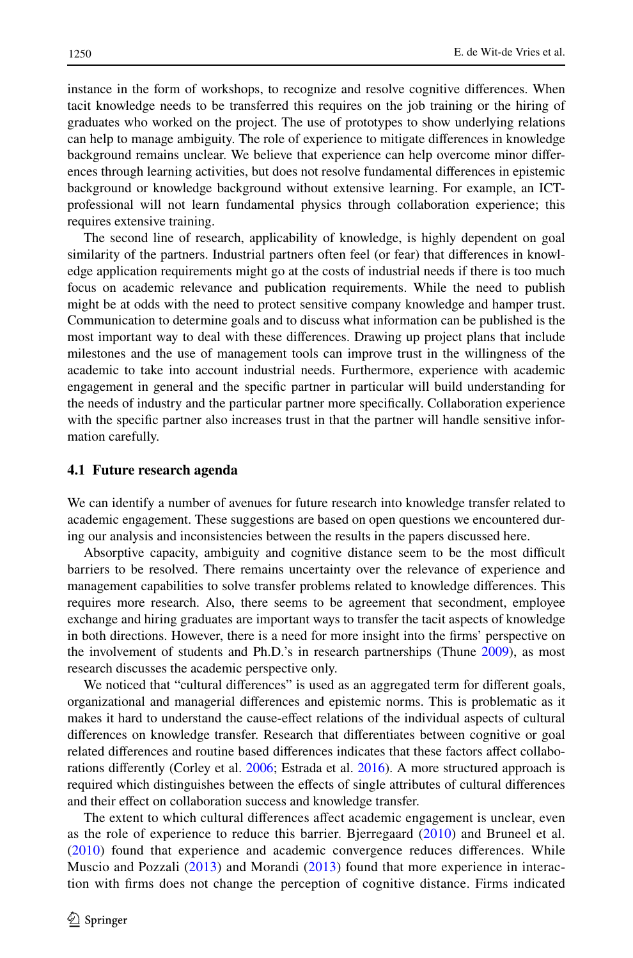instance in the form of workshops, to recognize and resolve cognitive diferences. When tacit knowledge needs to be transferred this requires on the job training or the hiring of graduates who worked on the project. The use of prototypes to show underlying relations can help to manage ambiguity. The role of experience to mitigate diferences in knowledge background remains unclear. We believe that experience can help overcome minor diferences through learning activities, but does not resolve fundamental diferences in epistemic background or knowledge background without extensive learning. For example, an ICTprofessional will not learn fundamental physics through collaboration experience; this requires extensive training.

The second line of research, applicability of knowledge, is highly dependent on goal similarity of the partners. Industrial partners often feel (or fear) that diferences in knowledge application requirements might go at the costs of industrial needs if there is too much focus on academic relevance and publication requirements. While the need to publish might be at odds with the need to protect sensitive company knowledge and hamper trust. Communication to determine goals and to discuss what information can be published is the most important way to deal with these diferences. Drawing up project plans that include milestones and the use of management tools can improve trust in the willingness of the academic to take into account industrial needs. Furthermore, experience with academic engagement in general and the specifc partner in particular will build understanding for the needs of industry and the particular partner more specifcally. Collaboration experience with the specific partner also increases trust in that the partner will handle sensitive information carefully.

#### **4.1 Future research agenda**

We can identify a number of avenues for future research into knowledge transfer related to academic engagement. These suggestions are based on open questions we encountered during our analysis and inconsistencies between the results in the papers discussed here.

Absorptive capacity, ambiguity and cognitive distance seem to be the most difficult barriers to be resolved. There remains uncertainty over the relevance of experience and management capabilities to solve transfer problems related to knowledge diferences. This requires more research. Also, there seems to be agreement that secondment, employee exchange and hiring graduates are important ways to transfer the tacit aspects of knowledge in both directions. However, there is a need for more insight into the frms' perspective on the involvement of students and Ph.D.'s in research partnerships (Thune [2009\)](#page-19-9), as most research discusses the academic perspective only.

We noticed that "cultural differences" is used as an aggregated term for different goals, organizational and managerial diferences and epistemic norms. This is problematic as it makes it hard to understand the cause-efect relations of the individual aspects of cultural diferences on knowledge transfer. Research that diferentiates between cognitive or goal related diferences and routine based diferences indicates that these factors afect collaborations diferently (Corley et al. [2006;](#page-17-10) Estrada et al. [2016](#page-17-16)). A more structured approach is required which distinguishes between the efects of single attributes of cultural diferences and their effect on collaboration success and knowledge transfer.

The extent to which cultural differences affect academic engagement is unclear, even as the role of experience to reduce this barrier. Bjerregaard ([2010\)](#page-17-25) and Bruneel et al. ([2010\)](#page-17-5) found that experience and academic convergence reduces diferences. While Muscio and Pozzali [\(2013\)](#page-18-13) and Morandi [\(2013\)](#page-18-24) found that more experience in interaction with frms does not change the perception of cognitive distance. Firms indicated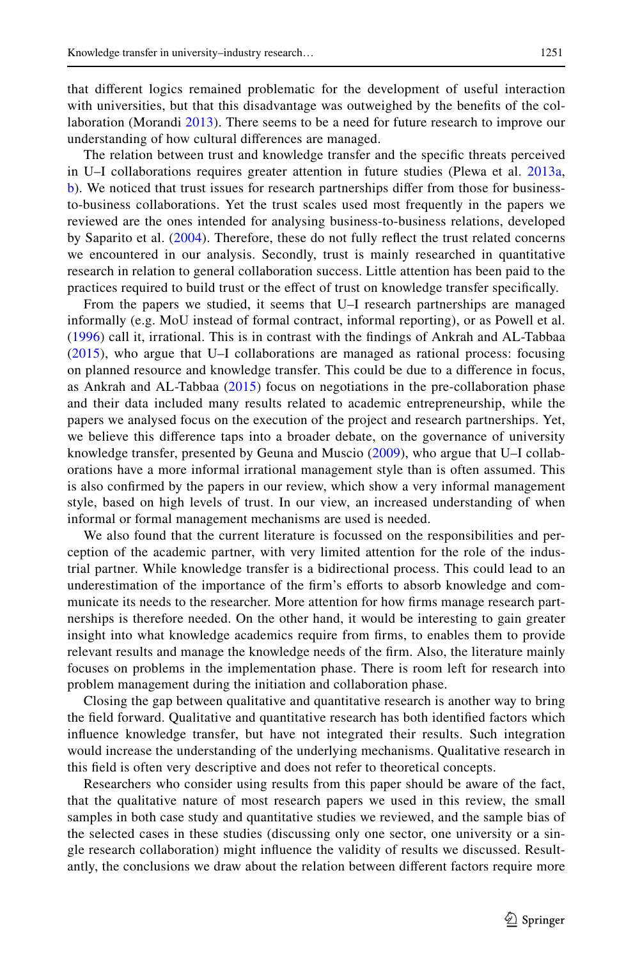that diferent logics remained problematic for the development of useful interaction with universities, but that this disadvantage was outweighed by the benefts of the collaboration (Morandi [2013](#page-18-24)). There seems to be a need for future research to improve our understanding of how cultural diferences are managed.

The relation between trust and knowledge transfer and the specifc threats perceived in U–I collaborations requires greater attention in future studies (Plewa et al. [2013a](#page-18-14), [b\)](#page-18-23). We noticed that trust issues for research partnerships difer from those for businessto-business collaborations. Yet the trust scales used most frequently in the papers we reviewed are the ones intended for analysing business-to-business relations, developed by Saparito et al. ([2004](#page-18-25)). Therefore, these do not fully refect the trust related concerns we encountered in our analysis. Secondly, trust is mainly researched in quantitative research in relation to general collaboration success. Little attention has been paid to the practices required to build trust or the efect of trust on knowledge transfer specifcally.

From the papers we studied, it seems that U–I research partnerships are managed informally (e.g. MoU instead of formal contract, informal reporting), or as Powell et al. ([1996\)](#page-18-26) call it, irrational. This is in contrast with the fndings of Ankrah and AL-Tabbaa ([2015\)](#page-16-3), who argue that U–I collaborations are managed as rational process: focusing on planned resource and knowledge transfer. This could be due to a diference in focus, as Ankrah and AL-Tabbaa ([2015](#page-16-3)) focus on negotiations in the pre-collaboration phase and their data included many results related to academic entrepreneurship, while the papers we analysed focus on the execution of the project and research partnerships. Yet, we believe this diference taps into a broader debate, on the governance of university knowledge transfer, presented by Geuna and Muscio ([2009](#page-17-26)), who argue that U–I collaborations have a more informal irrational management style than is often assumed. This is also confrmed by the papers in our review, which show a very informal management style, based on high levels of trust. In our view, an increased understanding of when informal or formal management mechanisms are used is needed.

We also found that the current literature is focussed on the responsibilities and perception of the academic partner, with very limited attention for the role of the industrial partner. While knowledge transfer is a bidirectional process. This could lead to an underestimation of the importance of the frm's eforts to absorb knowledge and communicate its needs to the researcher. More attention for how frms manage research partnerships is therefore needed. On the other hand, it would be interesting to gain greater insight into what knowledge academics require from frms, to enables them to provide relevant results and manage the knowledge needs of the frm. Also, the literature mainly focuses on problems in the implementation phase. There is room left for research into problem management during the initiation and collaboration phase.

Closing the gap between qualitative and quantitative research is another way to bring the feld forward. Qualitative and quantitative research has both identifed factors which infuence knowledge transfer, but have not integrated their results. Such integration would increase the understanding of the underlying mechanisms. Qualitative research in this feld is often very descriptive and does not refer to theoretical concepts.

Researchers who consider using results from this paper should be aware of the fact, that the qualitative nature of most research papers we used in this review, the small samples in both case study and quantitative studies we reviewed, and the sample bias of the selected cases in these studies (discussing only one sector, one university or a single research collaboration) might infuence the validity of results we discussed. Resultantly, the conclusions we draw about the relation between diferent factors require more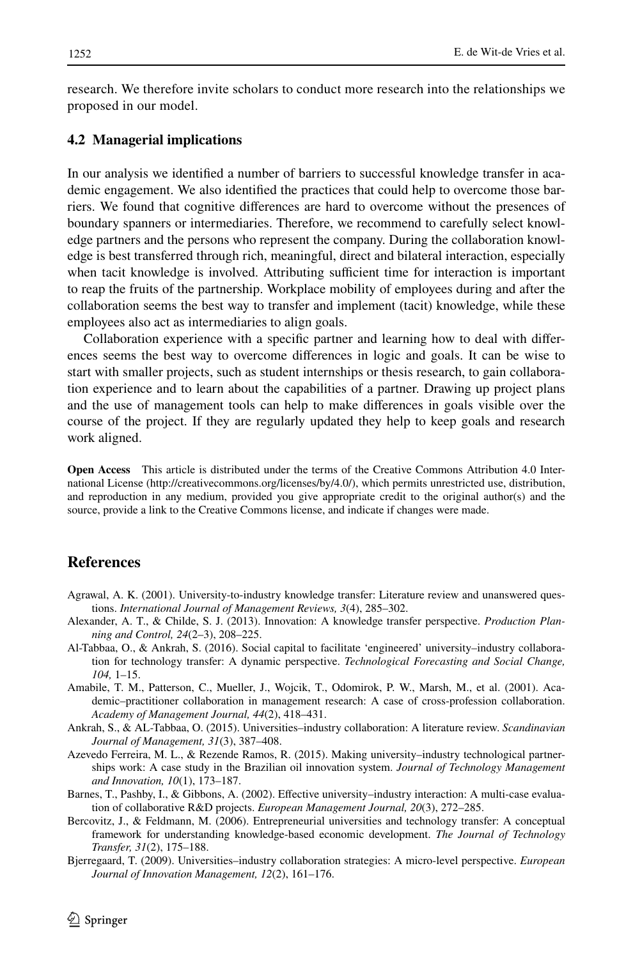research. We therefore invite scholars to conduct more research into the relationships we proposed in our model.

### **4.2 Managerial implications**

In our analysis we identifed a number of barriers to successful knowledge transfer in academic engagement. We also identifed the practices that could help to overcome those barriers. We found that cognitive diferences are hard to overcome without the presences of boundary spanners or intermediaries. Therefore, we recommend to carefully select knowledge partners and the persons who represent the company. During the collaboration knowledge is best transferred through rich, meaningful, direct and bilateral interaction, especially when tacit knowledge is involved. Attributing sufficient time for interaction is important to reap the fruits of the partnership. Workplace mobility of employees during and after the collaboration seems the best way to transfer and implement (tacit) knowledge, while these employees also act as intermediaries to align goals.

Collaboration experience with a specifc partner and learning how to deal with diferences seems the best way to overcome diferences in logic and goals. It can be wise to start with smaller projects, such as student internships or thesis research, to gain collaboration experience and to learn about the capabilities of a partner. Drawing up project plans and the use of management tools can help to make diferences in goals visible over the course of the project. If they are regularly updated they help to keep goals and research work aligned.

**Open Access** This article is distributed under the terms of the Creative Commons Attribution 4.0 International License (http://creativecommons.org/licenses/by/4.0/), which permits unrestricted use, distribution, and reproduction in any medium, provided you give appropriate credit to the original author(s) and the source, provide a link to the Creative Commons license, and indicate if changes were made.

# **References**

- <span id="page-16-1"></span>Agrawal, A. K. (2001). University-to-industry knowledge transfer: Literature review and unanswered questions. *International Journal of Management Reviews, 3*(4), 285–302.
- <span id="page-16-2"></span>Alexander, A. T., & Childe, S. J. (2013). Innovation: A knowledge transfer perspective. *Production Planning and Control, 24*(2–3), 208–225.
- <span id="page-16-4"></span>Al-Tabbaa, O., & Ankrah, S. (2016). Social capital to facilitate 'engineered' university–industry collaboration for technology transfer: A dynamic perspective. *Technological Forecasting and Social Change, 104,* 1–15.
- <span id="page-16-7"></span>Amabile, T. M., Patterson, C., Mueller, J., Wojcik, T., Odomirok, P. W., Marsh, M., et al. (2001). Academic–practitioner collaboration in management research: A case of cross-profession collaboration. *Academy of Management Journal, 44*(2), 418–431.
- <span id="page-16-3"></span>Ankrah, S., & AL-Tabbaa, O. (2015). Universities–industry collaboration: A literature review. *Scandinavian Journal of Management, 31*(3), 387–408.
- <span id="page-16-5"></span>Azevedo Ferreira, M. L., & Rezende Ramos, R. (2015). Making university–industry technological partnerships work: A case study in the Brazilian oil innovation system. *Journal of Technology Management and Innovation, 10*(1), 173–187.
- <span id="page-16-6"></span>Barnes, T., Pashby, I., & Gibbons, A. (2002). Efective university–industry interaction: A multi-case evaluation of collaborative R&D projects. *European Management Journal, 20*(3), 272–285.
- <span id="page-16-0"></span>Bercovitz, J., & Feldmann, M. (2006). Entrepreneurial universities and technology transfer: A conceptual framework for understanding knowledge-based economic development. *The Journal of Technology Transfer, 31*(2), 175–188.
- <span id="page-16-8"></span>Bjerregaard, T. (2009). Universities–industry collaboration strategies: A micro-level perspective. *European Journal of Innovation Management, 12*(2), 161–176.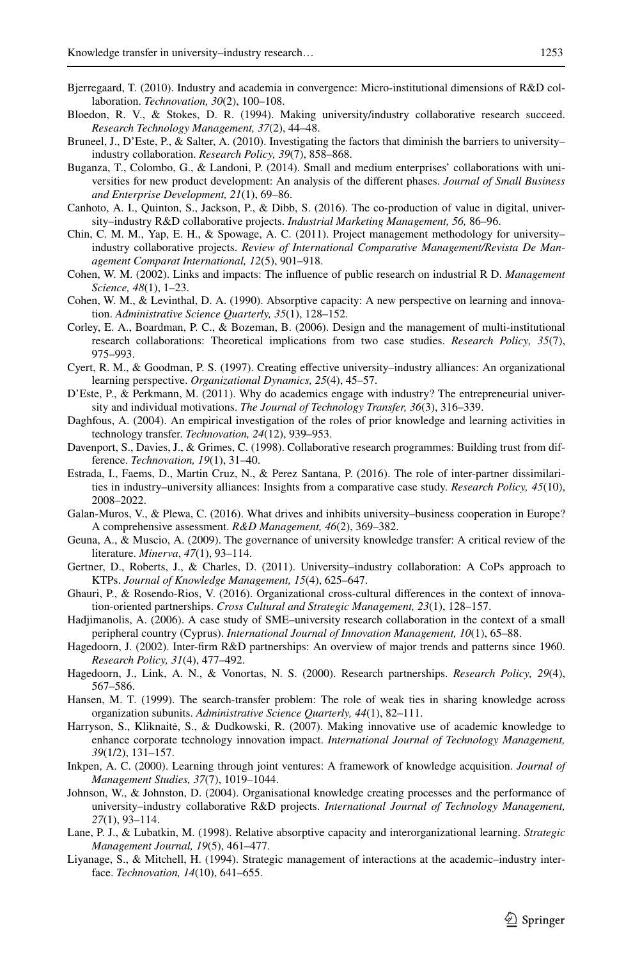- <span id="page-17-25"></span>Bjerregaard, T. (2010). Industry and academia in convergence: Micro-institutional dimensions of R&D collaboration. *Technovation, 30*(2), 100–108.
- <span id="page-17-4"></span>Bloedon, R. V., & Stokes, D. R. (1994). Making university/industry collaborative research succeed. *Research Technology Management, 37*(2), 44–48.
- <span id="page-17-5"></span>Bruneel, J., D'Este, P., & Salter, A. (2010). Investigating the factors that diminish the barriers to university– industry collaboration. *Research Policy, 39*(7), 858–868.
- <span id="page-17-8"></span>Buganza, T., Colombo, G., & Landoni, P. (2014). Small and medium enterprises' collaborations with universities for new product development: An analysis of the diferent phases. *Journal of Small Business and Enterprise Development, 21*(1), 69–86.
- <span id="page-17-9"></span>Canhoto, A. I., Quinton, S., Jackson, P., & Dibb, S. (2016). The co-production of value in digital, university–industry R&D collaborative projects. *Industrial Marketing Management, 56,* 86–96.
- <span id="page-17-18"></span>Chin, C. M. M., Yap, E. H., & Spowage, A. C. (2011). Project management methodology for university– industry collaborative projects. *Review of International Comparative Management/Revista De Management Comparat International, 12*(5), 901–918.
- <span id="page-17-1"></span>Cohen, W. M. (2002). Links and impacts: The infuence of public research on industrial R D. *Management Science, 48*(1), 1–23.
- <span id="page-17-7"></span>Cohen, W. M., & Levinthal, D. A. (1990). Absorptive capacity: A new perspective on learning and innovation. *Administrative Science Quarterly, 35*(1), 128–152.
- <span id="page-17-10"></span>Corley, E. A., Boardman, P. C., & Bozeman, B. (2006). Design and the management of multi-institutional research collaborations: Theoretical implications from two case studies. *Research Policy, 35*(7), 975–993.
- <span id="page-17-21"></span>Cyert, R. M., & Goodman, P. S. (1997). Creating efective university–industry alliances: An organizational learning perspective. *Organizational Dynamics, 25*(4), 45–57.
- <span id="page-17-0"></span>D'Este, P., & Perkmann, M. (2011). Why do academics engage with industry? The entrepreneurial university and individual motivations. *The Journal of Technology Transfer, 36*(3), 316–339.
- <span id="page-17-11"></span>Daghfous, A. (2004). An empirical investigation of the roles of prior knowledge and learning activities in technology transfer. *Technovation, 24*(12), 939–953.
- <span id="page-17-20"></span>Davenport, S., Davies, J., & Grimes, C. (1998). Collaborative research programmes: Building trust from difference. *Technovation, 19*(1), 31–40.
- <span id="page-17-16"></span>Estrada, I., Faems, D., Martin Cruz, N., & Perez Santana, P. (2016). The role of inter-partner dissimilarities in industry–university alliances: Insights from a comparative case study. *Research Policy, 45*(10), 2008–2022.
- <span id="page-17-6"></span>Galan-Muros, V., & Plewa, C. (2016). What drives and inhibits university–business cooperation in Europe? A comprehensive assessment. *R&D Management, 46*(2), 369–382.
- <span id="page-17-26"></span>Geuna, A., & Muscio, A. (2009). The governance of university knowledge transfer: A critical review of the literature. *Minerva*, *47*(1), 93–114.
- <span id="page-17-12"></span>Gertner, D., Roberts, J., & Charles, D. (2011). University–industry collaboration: A CoPs approach to KTPs. *Journal of Knowledge Management, 15*(4), 625–647.
- <span id="page-17-17"></span>Ghauri, P., & Rosendo-Rios, V. (2016). Organizational cross-cultural diferences in the context of innovation-oriented partnerships. *Cross Cultural and Strategic Management, 23*(1), 128–157.
- <span id="page-17-13"></span>Hadjimanolis, A. (2006). A case study of SME–university research collaboration in the context of a small peripheral country (Cyprus). *International Journal of Innovation Management, 10*(1), 65–88.
- <span id="page-17-2"></span>Hagedoorn, J. (2002). Inter-frm R&D partnerships: An overview of major trends and patterns since 1960. *Research Policy, 31*(4), 477–492.
- <span id="page-17-3"></span>Hagedoorn, J., Link, A. N., & Vonortas, N. S. (2000). Research partnerships. *Research Policy, 29*(4), 567–586.
- <span id="page-17-23"></span>Hansen, M. T. (1999). The search-transfer problem: The role of weak ties in sharing knowledge across organization subunits. *Administrative Science Quarterly, 44*(1), 82–111.
- <span id="page-17-14"></span>Harryson, S., Kliknaitė, S., & Dudkowski, R. (2007). Making innovative use of academic knowledge to enhance corporate technology innovation impact. *International Journal of Technology Management, 39*(1/2), 131–157.
- <span id="page-17-24"></span>Inkpen, A. C. (2000). Learning through joint ventures: A framework of knowledge acquisition. *Journal of Management Studies, 37*(7), 1019–1044.
- <span id="page-17-15"></span>Johnson, W., & Johnston, D. (2004). Organisational knowledge creating processes and the performance of university–industry collaborative R&D projects. *International Journal of Technology Management, 27*(1), 93–114.
- <span id="page-17-19"></span>Lane, P. J., & Lubatkin, M. (1998). Relative absorptive capacity and interorganizational learning. *Strategic Management Journal, 19*(5), 461–477.
- <span id="page-17-22"></span>Liyanage, S., & Mitchell, H. (1994). Strategic management of interactions at the academic–industry interface. *Technovation, 14*(10), 641–655.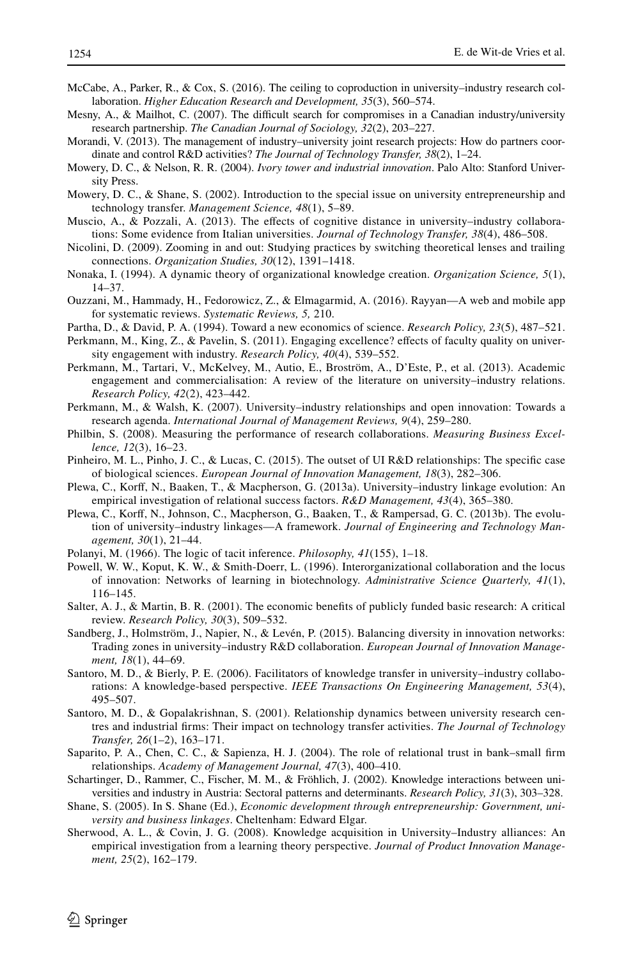- <span id="page-18-10"></span>McCabe, A., Parker, R., & Cox, S. (2016). The ceiling to coproduction in university–industry research collaboration. *Higher Education Research and Development, 35*(3), 560–574.
- <span id="page-18-11"></span>Mesny, A., & Mailhot, C. (2007). The difficult search for compromises in a Canadian industry/university research partnership. *The Canadian Journal of Sociology, 32*(2), 203–227.
- <span id="page-18-24"></span>Morandi, V. (2013). The management of industry–university joint research projects: How do partners coordinate and control R&D activities? *The Journal of Technology Transfer, 38*(2), 1–24.
- <span id="page-18-0"></span>Mowery, D. C., & Nelson, R. R. (2004). *Ivory tower and industrial innovation*. Palo Alto: Stanford University Press.
- <span id="page-18-18"></span>Mowery, D. C., & Shane, S. (2002). Introduction to the special issue on university entrepreneurship and technology transfer. *Management Science, 48*(1), 5–89.
- <span id="page-18-13"></span>Muscio, A., & Pozzali, A. (2013). The efects of cognitive distance in university–industry collaborations: Some evidence from Italian universities. *Journal of Technology Transfer, 38*(4), 486–508.
- <span id="page-18-6"></span>Nicolini, D. (2009). Zooming in and out: Studying practices by switching theoretical lenses and trailing connections. *Organization Studies, 30*(12), 1391–1418.
- <span id="page-18-22"></span>Nonaka, I. (1994). A dynamic theory of organizational knowledge creation. *Organization Science, 5*(1), 14–37.
- <span id="page-18-7"></span>Ouzzani, M., Hammady, H., Fedorowicz, Z., & Elmagarmid, A. (2016). Rayyan—A web and mobile app for systematic reviews. *Systematic Reviews, 5,* 210.
- <span id="page-18-19"></span>Partha, D., & David, P. A. (1994). Toward a new economics of science. *Research Policy, 23*(5), 487–521.
- <span id="page-18-5"></span>Perkmann, M., King, Z., & Pavelin, S. (2011). Engaging excellence? efects of faculty quality on university engagement with industry. *Research Policy, 40*(4), 539–552.
- <span id="page-18-3"></span>Perkmann, M., Tartari, V., McKelvey, M., Autio, E., Broström, A., D'Este, P., et al. (2013). Academic engagement and commercialisation: A review of the literature on university–industry relations. *Research Policy, 42*(2), 423–442.
- <span id="page-18-4"></span>Perkmann, M., & Walsh, K. (2007). University–industry relationships and open innovation: Towards a research agenda. *International Journal of Management Reviews, 9*(4), 259–280.
- <span id="page-18-15"></span>Philbin, S. (2008). Measuring the performance of research collaborations. *Measuring Business Excellence, 12*(3), 16–23.
- <span id="page-18-16"></span>Pinheiro, M. L., Pinho, J. C., & Lucas, C. (2015). The outset of UI R&D relationships: The specifc case of biological sciences. *European Journal of Innovation Management, 18*(3), 282–306.
- <span id="page-18-14"></span>Plewa, C., Korf, N., Baaken, T., & Macpherson, G. (2013a). University–industry linkage evolution: An empirical investigation of relational success factors. *R&D Management, 43*(4), 365–380.
- <span id="page-18-23"></span>Plewa, C., Korf, N., Johnson, C., Macpherson, G., Baaken, T., & Rampersad, G. C. (2013b). The evolution of university–industry linkages—A framework. *Journal of Engineering and Technology Management, 30*(1), 21–44.
- <span id="page-18-8"></span>Polanyi, M. (1966). The logic of tacit inference. *Philosophy, 41*(155), 1–18.
- <span id="page-18-26"></span>Powell, W. W., Koput, K. W., & Smith-Doerr, L. (1996). Interorganizational collaboration and the locus of innovation: Networks of learning in biotechnology. *Administrative Science Quarterly, 41*(1), 116–145.
- <span id="page-18-2"></span>Salter, A. J., & Martin, B. R. (2001). The economic benefts of publicly funded basic research: A critical review. *Research Policy, 30*(3), 509–532.
- <span id="page-18-12"></span>Sandberg, J., Holmström, J., Napier, N., & Levén, P. (2015). Balancing diversity in innovation networks: Trading zones in university–industry R&D collaboration. *European Journal of Innovation Management, 18*(1), 44–69.
- <span id="page-18-9"></span>Santoro, M. D., & Bierly, P. E. (2006). Facilitators of knowledge transfer in university–industry collaborations: A knowledge-based perspective. *IEEE Transactions On Engineering Management, 53*(4), 495–507.
- <span id="page-18-20"></span>Santoro, M. D., & Gopalakrishnan, S. (2001). Relationship dynamics between university research centres and industrial frms: Their impact on technology transfer activities. *The Journal of Technology Transfer, 26*(1–2), 163–171.
- <span id="page-18-25"></span>Saparito, P. A., Chen, C. C., & Sapienza, H. J. (2004). The role of relational trust in bank–small frm relationships. *Academy of Management Journal, 47*(3), 400–410.
- <span id="page-18-21"></span>Schartinger, D., Rammer, C., Fischer, M. M., & Fröhlich, J. (2002). Knowledge interactions between universities and industry in Austria: Sectoral patterns and determinants. *Research Policy, 31*(3), 303–328.
- <span id="page-18-1"></span>Shane, S. (2005). In S. Shane (Ed.), *Economic development through entrepreneurship: Government, university and business linkages*. Cheltenham: Edward Elgar.
- <span id="page-18-17"></span>Sherwood, A. L., & Covin, J. G. (2008). Knowledge acquisition in University–Industry alliances: An empirical investigation from a learning theory perspective. *Journal of Product Innovation Management, 25*(2), 162–179.